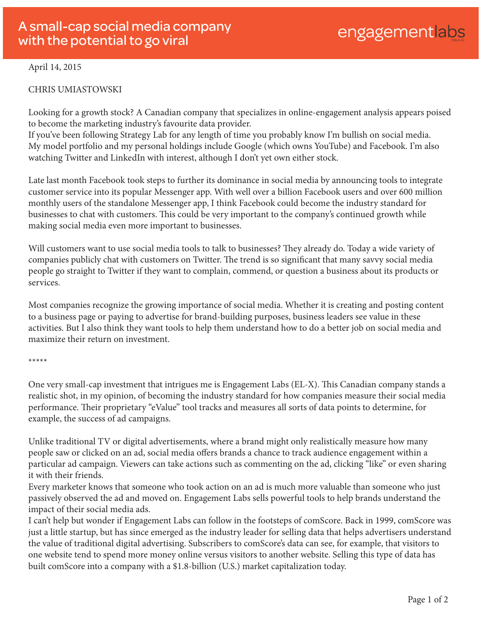## April 14, 2015

## CHRIS UMIASTOWSKI

Looking for a growth stock? A Canadian company that specializes in online-engagement analysis appears poised to become the marketing industry's favourite data provider.

If you've been following Strategy Lab for any length of time you probably know I'm bullish on social media. My model portfolio and my personal holdings include Google (which owns YouTube) and Facebook. I'm also watching Twitter and LinkedIn with interest, although I don't yet own either stock.

Late last month Facebook took steps to further its dominance in social media by announcing tools to integrate customer service into its popular Messenger app. With well over a billion Facebook users and over 600 million monthly users of the standalone Messenger app, I think Facebook could become the industry standard for businesses to chat with customers. This could be very important to the company's continued growth while making social media even more important to businesses.

Will customers want to use social media tools to talk to businesses? They already do. Today a wide variety of companies publicly chat with customers on Twitter. The trend is so significant that many savvy social media people go straight to Twitter if they want to complain, commend, or question a business about its products or services.

Most companies recognize the growing importance of social media. Whether it is creating and posting content to a business page or paying to advertise for brand-building purposes, business leaders see value in these activities. But I also think they want tools to help them understand how to do a better job on social media and maximize their return on investment.

## \*\*\*\*\*

One very small-cap investment that intrigues me is Engagement Labs (EL-X). This Canadian company stands a realistic shot, in my opinion, of becoming the industry standard for how companies measure their social media performance. Their proprietary "eValue" tool tracks and measures all sorts of data points to determine, for example, the success of ad campaigns.

Unlike traditional TV or digital advertisements, where a brand might only realistically measure how many people saw or clicked on an ad, social media offers brands a chance to track audience engagement within a particular ad campaign. Viewers can take actions such as commenting on the ad, clicking "like" or even sharing it with their friends.

Every marketer knows that someone who took action on an ad is much more valuable than someone who just passively observed the ad and moved on. Engagement Labs sells powerful tools to help brands understand the impact of their social media ads.

I can't help but wonder if Engagement Labs can follow in the footsteps of comScore. Back in 1999, comScore was just a little startup, but has since emerged as the industry leader for selling data that helps advertisers understand the value of traditional digital advertising. Subscribers to comScore's data can see, for example, that visitors to one website tend to spend more money online versus visitors to another website. Selling this type of data has built comScore into a company with a \$1.8-billion (U.S.) market capitalization today.